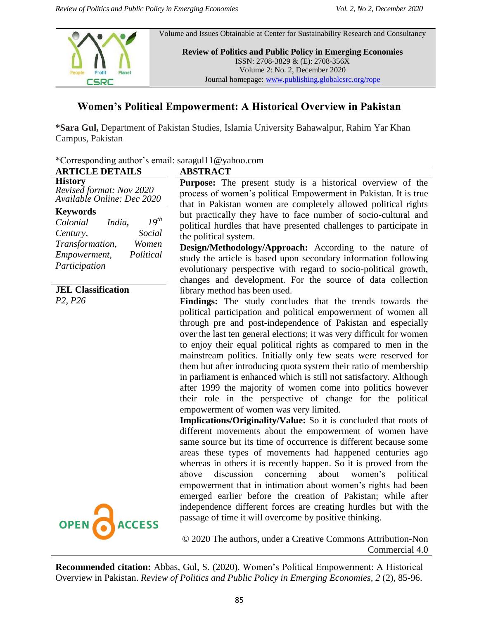

# **Women's Political Empowerment: A Historical Overview in Pakistan**

**\*Sara Gul,** Department of Pakistan Studies, Islamia University Bahawalpur, Rahim Yar Khan Campus, Pakistan

| Corresponding addition s email: saragui i twyanoo.com                                                                                                                                                                                                                                                                                                                                                                                                                                                                                                                                                                                                                                                                                                        |
|--------------------------------------------------------------------------------------------------------------------------------------------------------------------------------------------------------------------------------------------------------------------------------------------------------------------------------------------------------------------------------------------------------------------------------------------------------------------------------------------------------------------------------------------------------------------------------------------------------------------------------------------------------------------------------------------------------------------------------------------------------------|
| <b>ABSTRACT</b>                                                                                                                                                                                                                                                                                                                                                                                                                                                                                                                                                                                                                                                                                                                                              |
| Purpose: The present study is a historical overview of the<br>process of women's political Empowerment in Pakistan. It is true<br>that in Pakistan women are completely allowed political rights                                                                                                                                                                                                                                                                                                                                                                                                                                                                                                                                                             |
| but practically they have to face number of socio-cultural and<br>political hurdles that have presented challenges to participate in<br>the political system.<br>Design/Methodology/Approach: According to the nature of<br>study the article is based upon secondary information following<br>evolutionary perspective with regard to socio-political growth,<br>changes and development. For the source of data collection                                                                                                                                                                                                                                                                                                                                 |
| library method has been used.<br>Findings: The study concludes that the trends towards the<br>political participation and political empowerment of women all<br>through pre and post-independence of Pakistan and especially<br>over the last ten general elections; it was very difficult for women<br>to enjoy their equal political rights as compared to men in the<br>mainstream politics. Initially only few seats were reserved for<br>them but after introducing quota system their ratio of membership<br>in parliament is enhanced which is still not satisfactory. Although<br>after 1999 the majority of women come into politics however<br>their role in the perspective of change for the political<br>empowerment of women was very limited. |
| Implications/Originality/Value: So it is concluded that roots of<br>different movements about the empowerment of women have<br>same source but its time of occurrence is different because some<br>areas these types of movements had happened centuries ago<br>whereas in others it is recently happen. So it is proved from the<br>concerning about<br>discussion<br>women's<br>above<br>political<br>empowerment that in intimation about women's rights had been<br>emerged earlier before the creation of Pakistan; while after<br>independence different forces are creating hurdles but with the<br>passage of time it will overcome by positive thinking.                                                                                            |
|                                                                                                                                                                                                                                                                                                                                                                                                                                                                                                                                                                                                                                                                                                                                                              |

© 2020 The authors, under a Creative Commons Attribution-Non Commercial 4.0

**Recommended citation:** Abbas, Gul, S. (2020). Women's Political Empowerment: A Historical Overview in Pakistan. *Review of Politics and Public Policy in Emerging Economies, 2* (2), 85-96.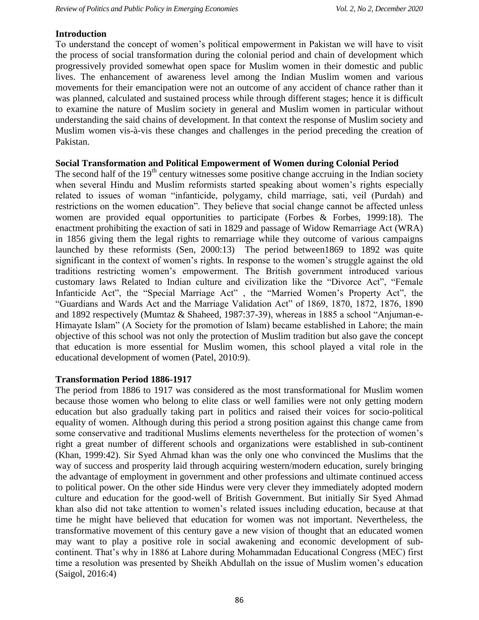#### **Introduction**

To understand the concept of women's political empowerment in Pakistan we will have to visit the process of social transformation during the colonial period and chain of development which progressively provided somewhat open space for Muslim women in their domestic and public lives. The enhancement of awareness level among the Indian Muslim women and various movements for their emancipation were not an outcome of any accident of chance rather than it was planned, calculated and sustained process while through different stages; hence it is difficult to examine the nature of Muslim society in general and Muslim women in particular without understanding the said chains of development. In that context the response of Muslim society and Muslim women vis-à-vis these changes and challenges in the period preceding the creation of Pakistan.

### **Social Transformation and Political Empowerment of Women during Colonial Period**

The second half of the  $19<sup>th</sup>$  century witnesses some positive change accruing in the Indian society when several Hindu and Muslim reformists started speaking about women's rights especially related to issues of woman "infanticide, polygamy, child marriage, sati, veil (Purdah) and restrictions on the women education". They believe that social change cannot be affected unless women are provided equal opportunities to participate (Forbes & Forbes, 1999:18). The enactment prohibiting the exaction of sati in 1829 and passage of Widow Remarriage Act (WRA) in 1856 giving them the legal rights to remarriage while they outcome of various campaigns launched by these reformists (Sen, 2000:13) The period between1869 to 1892 was quite significant in the context of women's rights. In response to the women's struggle against the old traditions restricting women's empowerment. The British government introduced various customary laws Related to Indian culture and civilization like the "Divorce Act", "Female Infanticide Act", the "Special Marriage Act" , the "Married Women's Property Act", the "Guardians and Wards Act and the Marriage Validation Act" of 1869, 1870, 1872, 1876, 1890 and 1892 respectively (Mumtaz & Shaheed, 1987:37-39), whereas in 1885 a school "Anjuman-e-Himayate Islam" (A Society for the promotion of Islam) became established in Lahore; the main objective of this school was not only the protection of Muslim tradition but also gave the concept that education is more essential for Muslim women, this school played a vital role in the educational development of women (Patel, 2010:9).

### **Transformation Period 1886-1917**

The period from 1886 to 1917 was considered as the most transformational for Muslim women because those women who belong to elite class or well families were not only getting modern education but also gradually taking part in politics and raised their voices for socio-political equality of women. Although during this period a strong position against this change came from some conservative and traditional Muslims elements nevertheless for the protection of women's right a great number of different schools and organizations were established in sub-continent (Khan, 1999:42). Sir Syed Ahmad khan was the only one who convinced the Muslims that the way of success and prosperity laid through acquiring western/modern education, surely bringing the advantage of employment in government and other professions and ultimate continued access to political power. On the other side Hindus were very clever they immediately adopted modern culture and education for the good-well of British Government. But initially Sir Syed Ahmad khan also did not take attention to women's related issues including education, because at that time he might have believed that education for women was not important. Nevertheless, the transformative movement of this century gave a new vision of thought that an educated women may want to play a positive role in social awakening and economic development of subcontinent. That's why in 1886 at Lahore during Mohammadan Educational Congress (MEC) first time a resolution was presented by Sheikh Abdullah on the issue of Muslim women's education (Saigol, 2016:4)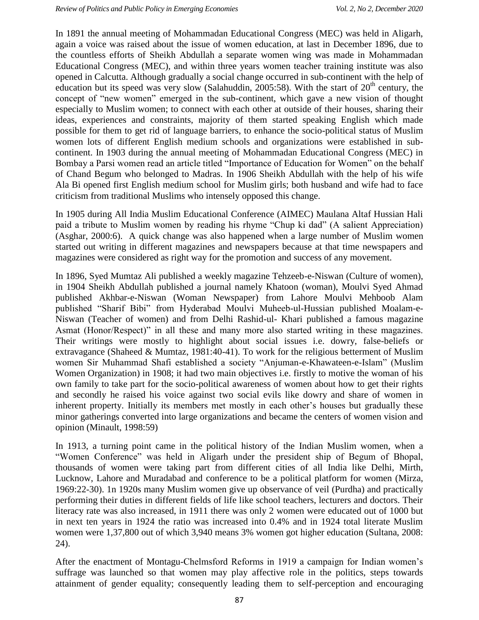In 1891 the annual meeting of Mohammadan Educational Congress (MEC) was held in Aligarh, again a voice was raised about the issue of women education, at last in December 1896, due to the countless efforts of Sheikh Abdullah a separate women wing was made in Mohammadan Educational Congress (MEC), and within three years women teacher training institute was also opened in Calcutta. Although gradually a social change occurred in sub-continent with the help of education but its speed was very slow (Salahuddin, 2005:58). With the start of  $20<sup>th</sup>$  century, the concept of "new women" emerged in the sub-continent, which gave a new vision of thought especially to Muslim women; to connect with each other at outside of their houses, sharing their ideas, experiences and constraints, majority of them started speaking English which made possible for them to get rid of language barriers, to enhance the socio-political status of Muslim women lots of different English medium schools and organizations were established in subcontinent. In 1903 during the annual meeting of Mohammadan Educational Congress (MEC) in Bombay a Parsi women read an article titled "Importance of Education for Women" on the behalf of Chand Begum who belonged to Madras. In 1906 Sheikh Abdullah with the help of his wife Ala Bi opened first English medium school for Muslim girls; both husband and wife had to face criticism from traditional Muslims who intensely opposed this change.

In 1905 during All India Muslim Educational Conference (AIMEC) Maulana Altaf Hussian Hali paid a tribute to Muslim women by reading his rhyme "Chup ki dad" (A salient Appreciation) (Asghar, 2000:6). A quick change was also happened when a large number of Muslim women started out writing in different magazines and newspapers because at that time newspapers and magazines were considered as right way for the promotion and success of any movement.

In 1896, Syed Mumtaz Ali published a weekly magazine Tehzeeb-e-Niswan (Culture of women), in 1904 Sheikh Abdullah published a journal namely Khatoon (woman), Moulvi Syed Ahmad published Akhbar-e-Niswan (Woman Newspaper) from Lahore Moulvi Mehboob Alam published "Sharif Bibi" from Hyderabad Moulvi Muheeb-ul-Hussian published Moalam-e-Niswan (Teacher of women) and from Delhi Rashid-ul- Khari published a famous magazine Asmat (Honor/Respect)" in all these and many more also started writing in these magazines. Their writings were mostly to highlight about social issues i.e. dowry, false-beliefs or extravagance (Shaheed & Mumtaz, 1981:40-41). To work for the religious betterment of Muslim women Sir Muhammad Shafi established a society "Anjuman-e-Khawateen-e-Islam" (Muslim Women Organization) in 1908; it had two main objectives i.e. firstly to motive the woman of his own family to take part for the socio-political awareness of women about how to get their rights and secondly he raised his voice against two social evils like dowry and share of women in inherent property. Initially its members met mostly in each other's houses but gradually these minor gatherings converted into large organizations and became the centers of women vision and opinion (Minault, 1998:59)

In 1913, a turning point came in the political history of the Indian Muslim women, when a "Women Conference" was held in Aligarh under the president ship of Begum of Bhopal, thousands of women were taking part from different cities of all India like Delhi, Mirth, Lucknow, Lahore and Muradabad and conference to be a political platform for women (Mirza, 1969:22-30). 1n 1920s many Muslim women give up observance of veil (Purdha) and practically performing their duties in different fields of life like school teachers, lecturers and doctors. Their literacy rate was also increased, in 1911 there was only 2 women were educated out of 1000 but in next ten years in 1924 the ratio was increased into 0.4% and in 1924 total literate Muslim women were 1,37,800 out of which 3,940 means 3% women got higher education (Sultana, 2008: 24).

After the enactment of Montagu-Chelmsford Reforms in 1919 a campaign for Indian women's suffrage was launched so that women may play affective role in the politics, steps towards attainment of gender equality; consequently leading them to self-perception and encouraging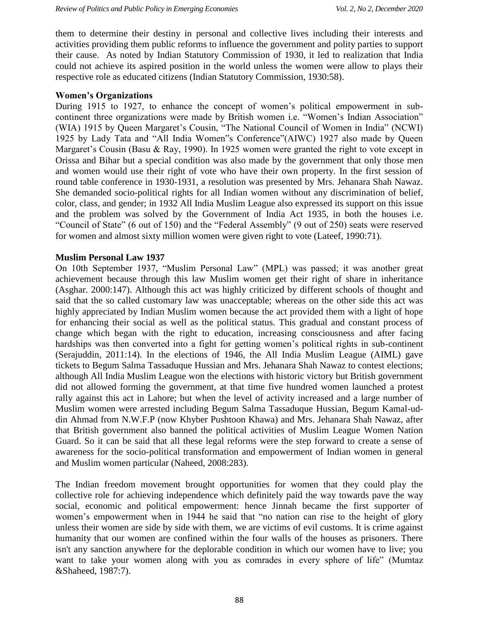them to determine their destiny in personal and collective lives including their interests and activities providing them public reforms to influence the government and polity parties to support their cause. As noted by Indian Statutory Commission of 1930, it led to realization that India could not achieve its aspired position in the world unless the women were allow to plays their respective role as educated citizens (Indian Statutory Commission, 1930:58).

### **Women's Organizations**

During 1915 to 1927, to enhance the concept of women's political empowerment in subcontinent three organizations were made by British women i.e. "Women's Indian Association" (WIA) 1915 by Queen Margaret's Cousin, "The National Council of Women in India" (NCWI) 1925 by Lady Tata and "All India Women"s Conference"(AIWC) 1927 also made by Queen Margaret's Cousin (Basu & Ray, 1990). In 1925 women were granted the right to vote except in Orissa and Bihar but a special condition was also made by the government that only those men and women would use their right of vote who have their own property. In the first session of round table conference in 1930-1931, a resolution was presented by Mrs. Jehanara Shah Nawaz. She demanded socio-political rights for all Indian women without any discrimination of belief, color, class, and gender; in 1932 All India Muslim League also expressed its support on this issue and the problem was solved by the Government of India Act 1935, in both the houses i.e. "Council of State" (6 out of 150) and the "Federal Assembly" (9 out of 250) seats were reserved for women and almost sixty million women were given right to vote (Lateef, 1990:71).

### **Muslim Personal Law 1937**

On 10th September 1937, "Muslim Personal Law" (MPL) was passed; it was another great achievement because through this law Muslim women get their right of share in inheritance (Asghar. 2000:147). Although this act was highly criticized by different schools of thought and said that the so called customary law was unacceptable; whereas on the other side this act was highly appreciated by Indian Muslim women because the act provided them with a light of hope for enhancing their social as well as the political status. This gradual and constant process of change which began with the right to education, increasing consciousness and after facing hardships was then converted into a fight for getting women's political rights in sub-continent (Serajuddin, 2011:14). In the elections of 1946, the All India Muslim League (AIML) gave tickets to Begum Salma Tassaduque Hussian and Mrs. Jehanara Shah Nawaz to contest elections; although All India Muslim League won the elections with historic victory but British government did not allowed forming the government, at that time five hundred women launched a protest rally against this act in Lahore; but when the level of activity increased and a large number of Muslim women were arrested including Begum Salma Tassaduque Hussian, Begum Kamal-uddin Ahmad from N.W.F.P (now Khyber Pushtoon Khawa) and Mrs. Jehanara Shah Nawaz, after that British government also banned the political activities of Muslim League Women Nation Guard. So it can be said that all these legal reforms were the step forward to create a sense of awareness for the socio-political transformation and empowerment of Indian women in general and Muslim women particular (Naheed, 2008:283).

The Indian freedom movement brought opportunities for women that they could play the collective role for achieving independence which definitely paid the way towards pave the way social, economic and political empowerment: hence Jinnah became the first supporter of women's empowerment when in 1944 he said that "no nation can rise to the height of glory unless their women are side by side with them, we are victims of evil customs. It is crime against humanity that our women are confined within the four walls of the houses as prisoners. There isn't any sanction anywhere for the deplorable condition in which our women have to live; you want to take your women along with you as comrades in every sphere of life" (Mumtaz &Shaheed, 1987:7).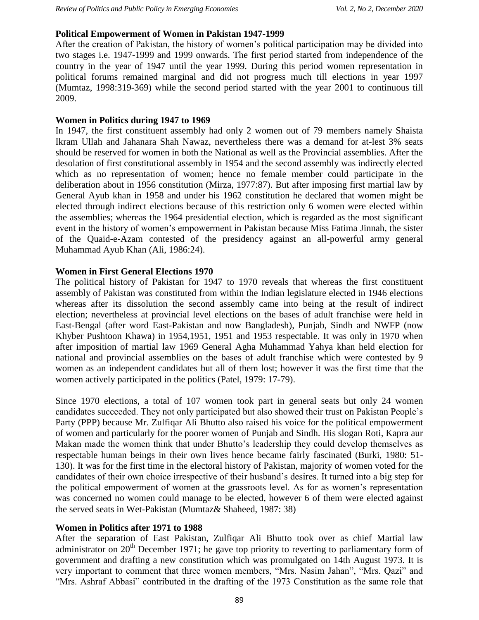### **Political Empowerment of Women in Pakistan 1947-1999**

After the creation of Pakistan, the history of women's political participation may be divided into two stages i.e. 1947-1999 and 1999 onwards. The first period started from independence of the country in the year of 1947 until the year 1999. During this period women representation in political forums remained marginal and did not progress much till elections in year 1997 (Mumtaz, 1998:319-369) while the second period started with the year 2001 to continuous till 2009.

### **Women in Politics during 1947 to 1969**

In 1947, the first constituent assembly had only 2 women out of 79 members namely Shaista Ikram Ullah and Jahanara Shah Nawaz, nevertheless there was a demand for at-lest 3% seats should be reserved for women in both the National as well as the Provincial assemblies. After the desolation of first constitutional assembly in 1954 and the second assembly was indirectly elected which as no representation of women; hence no female member could participate in the deliberation about in 1956 constitution (Mirza, 1977:87). But after imposing first martial law by General Ayub khan in 1958 and under his 1962 constitution he declared that women might be elected through indirect elections because of this restriction only 6 women were elected within the assemblies; whereas the 1964 presidential election, which is regarded as the most significant event in the history of women's empowerment in Pakistan because Miss Fatima Jinnah, the sister of the Quaid-e-Azam contested of the presidency against an all-powerful army general Muhammad Ayub Khan (Ali, 1986:24).

## **Women in First General Elections 1970**

The political history of Pakistan for 1947 to 1970 reveals that whereas the first constituent assembly of Pakistan was constituted from within the Indian legislature elected in 1946 elections whereas after its dissolution the second assembly came into being at the result of indirect election; nevertheless at provincial level elections on the bases of adult franchise were held in East-Bengal (after word East-Pakistan and now Bangladesh), Punjab, Sindh and NWFP (now Khyber Pushtoon Khawa) in 1954,1951, 1951 and 1953 respectable. It was only in 1970 when after imposition of martial law 1969 General Agha Muhammad Yahya khan held election for national and provincial assemblies on the bases of adult franchise which were contested by 9 women as an independent candidates but all of them lost; however it was the first time that the women actively participated in the politics (Patel, 1979: 17-79).

Since 1970 elections, a total of 107 women took part in general seats but only 24 women candidates succeeded. They not only participated but also showed their trust on Pakistan People's Party (PPP) because Mr. Zulfiqar Ali Bhutto also raised his voice for the political empowerment of women and particularly for the poorer women of Punjab and Sindh. His slogan Roti, Kapra aur Makan made the women think that under Bhutto's leadership they could develop themselves as respectable human beings in their own lives hence became fairly fascinated (Burki, 1980: 51- 130). It was for the first time in the electoral history of Pakistan, majority of women voted for the candidates of their own choice irrespective of their husband's desires. It turned into a big step for the political empowerment of women at the grassroots level. As for as women's representation was concerned no women could manage to be elected, however 6 of them were elected against the served seats in Wet-Pakistan (Mumtaz& Shaheed, 1987: 38)

# **Women in Politics after 1971 to 1988**

After the separation of East Pakistan, Zulfiqar Ali Bhutto took over as chief Martial law administrator on  $20<sup>th</sup>$  December 1971; he gave top priority to reverting to parliamentary form of government and drafting a new constitution which was promulgated on 14th August 1973. It is very important to comment that three women members, "Mrs. Nasim Jahan", "Mrs. Qazi" and "Mrs. Ashraf Abbasi" contributed in the drafting of the 1973 Constitution as the same role that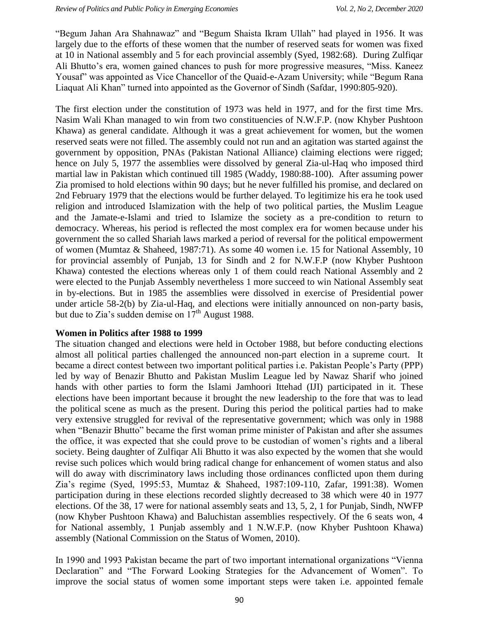"Begum Jahan Ara Shahnawaz" and "Begum Shaista Ikram Ullah" had played in 1956. It was largely due to the efforts of these women that the number of reserved seats for women was fixed at 10 in National assembly and 5 for each provincial assembly (Syed, 1982:68). During Zulfiqar Ali Bhutto's era, women gained chances to push for more progressive measures, "Miss. Kaneez Yousaf" was appointed as Vice Chancellor of the Quaid-e-Azam University; while "Begum Rana Liaquat Ali Khan" turned into appointed as the Governor of Sindh (Safdar, 1990:805-920).

The first election under the constitution of 1973 was held in 1977, and for the first time Mrs. Nasim Wali Khan managed to win from two constituencies of N.W.F.P. (now Khyber Pushtoon Khawa) as general candidate. Although it was a great achievement for women, but the women reserved seats were not filled. The assembly could not run and an agitation was started against the government by opposition, PNAs (Pakistan National Alliance) claiming elections were rigged; hence on July 5, 1977 the assemblies were dissolved by general Zia-ul-Haq who imposed third martial law in Pakistan which continued till 1985 (Waddy, 1980:88-100). After assuming power Zia promised to hold elections within 90 days; but he never fulfilled his promise, and declared on 2nd February 1979 that the elections would be further delayed. To legitimize his era he took used religion and introduced Islamization with the help of two political parties, the Muslim League and the Jamate-e-Islami and tried to Islamize the society as a pre-condition to return to democracy. Whereas, his period is reflected the most complex era for women because under his government the so called Shariah laws marked a period of reversal for the political empowerment of women (Mumtaz & Shaheed, 1987:71). As some 40 women i.e. 15 for National Assembly, 10 for provincial assembly of Punjab, 13 for Sindh and 2 for N.W.F.P (now Khyber Pushtoon Khawa) contested the elections whereas only 1 of them could reach National Assembly and 2 were elected to the Punjab Assembly nevertheless 1 more succeed to win National Assembly seat in by-elections. But in 1985 the assemblies were dissolved in exercise of Presidential power under article 58-2(b) by Zia-ul-Haq, and elections were initially announced on non-party basis, but due to Zia's sudden demise on  $17<sup>th</sup>$  August 1988.

### **Women in Politics after 1988 to 1999**

The situation changed and elections were held in October 1988, but before conducting elections almost all political parties challenged the announced non-part election in a supreme court. It became a direct contest between two important political parties i.e. Pakistan People's Party (PPP) led by way of Benazir Bhutto and Pakistan Muslim League led by Nawaz Sharif who joined hands with other parties to form the Islami Jamhoori Ittehad (IJI) participated in it. These elections have been important because it brought the new leadership to the fore that was to lead the political scene as much as the present. During this period the political parties had to make very extensive struggled for revival of the representative government; which was only in 1988 when "Benazir Bhutto" became the first woman prime minister of Pakistan and after she assumes the office, it was expected that she could prove to be custodian of women's rights and a liberal society. Being daughter of Zulfiqar Ali Bhutto it was also expected by the women that she would revise such polices which would bring radical change for enhancement of women status and also will do away with discriminatory laws including those ordinances conflicted upon them during Zia's regime (Syed, 1995:53, Mumtaz & Shaheed, 1987:109-110, Zafar, 1991:38). Women participation during in these elections recorded slightly decreased to 38 which were 40 in 1977 elections. Of the 38, 17 were for national assembly seats and 13, 5, 2, 1 for Punjab, Sindh, NWFP (now Khyber Pushtoon Khawa) and Baluchistan assemblies respectively. Of the 6 seats won, 4 for National assembly, 1 Punjab assembly and 1 N.W.F.P. (now Khyber Pushtoon Khawa) assembly (National Commission on the Status of Women, 2010).

In 1990 and 1993 Pakistan became the part of two important international organizations "Vienna Declaration" and "The Forward Looking Strategies for the Advancement of Women". To improve the social status of women some important steps were taken i.e. appointed female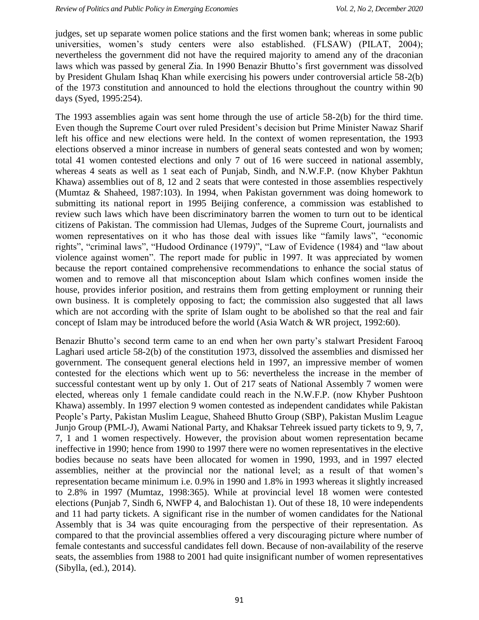judges, set up separate women police stations and the first women bank; whereas in some public universities, women's study centers were also established. (FLSAW) (PILAT, 2004); nevertheless the government did not have the required majority to amend any of the draconian laws which was passed by general Zia. In 1990 Benazir Bhutto's first government was dissolved by President Ghulam Ishaq Khan while exercising his powers under controversial article 58-2(b) of the 1973 constitution and announced to hold the elections throughout the country within 90 days (Syed, 1995:254).

The 1993 assemblies again was sent home through the use of article 58-2(b) for the third time. Even though the Supreme Court over ruled President's decision but Prime Minister Nawaz Sharif left his office and new elections were held. In the context of women representation, the 1993 elections observed a minor increase in numbers of general seats contested and won by women; total 41 women contested elections and only 7 out of 16 were succeed in national assembly, whereas 4 seats as well as 1 seat each of Punjab, Sindh, and N.W.F.P. (now Khyber Pakhtun Khawa) assemblies out of 8, 12 and 2 seats that were contested in those assemblies respectively (Mumtaz & Shaheed, 1987:103). In 1994, when Pakistan government was doing homework to submitting its national report in 1995 Beijing conference, a commission was established to review such laws which have been discriminatory barren the women to turn out to be identical citizens of Pakistan. The commission had Ulemas, Judges of the Supreme Court, journalists and women representatives on it who has those deal with issues like "family laws", "economic rights", "criminal laws", "Hudood Ordinance (1979)", "Law of Evidence (1984) and "law about violence against women". The report made for public in 1997. It was appreciated by women because the report contained comprehensive recommendations to enhance the social status of women and to remove all that misconception about Islam which confines women inside the house, provides inferior position, and restrains them from getting employment or running their own business. It is completely opposing to fact; the commission also suggested that all laws which are not according with the sprite of Islam ought to be abolished so that the real and fair concept of Islam may be introduced before the world (Asia Watch & WR project, 1992:60).

Benazir Bhutto's second term came to an end when her own party's stalwart President Farooq Laghari used article 58-2(b) of the constitution 1973, dissolved the assemblies and dismissed her government. The consequent general elections held in 1997, an impressive member of women contested for the elections which went up to 56: nevertheless the increase in the member of successful contestant went up by only 1. Out of 217 seats of National Assembly 7 women were elected, whereas only 1 female candidate could reach in the N.W.F.P. (now Khyber Pushtoon Khawa) assembly. In 1997 election 9 women contested as independent candidates while Pakistan People's Party, Pakistan Muslim League, Shaheed Bhutto Group (SBP), Pakistan Muslim League Junjo Group (PML-J), Awami National Party, and Khaksar Tehreek issued party tickets to 9, 9, 7, 7, 1 and 1 women respectively. However, the provision about women representation became ineffective in 1990; hence from 1990 to 1997 there were no women representatives in the elective bodies because no seats have been allocated for women in 1990, 1993, and in 1997 elected assemblies, neither at the provincial nor the national level; as a result of that women's representation became minimum i.e. 0.9% in 1990 and 1.8% in 1993 whereas it slightly increased to 2.8% in 1997 (Mumtaz, 1998:365). While at provincial level 18 women were contested elections (Punjab 7, Sindh 6, NWFP 4, and Balochistan 1). Out of these 18, 10 were independents and 11 had party tickets. A significant rise in the number of women candidates for the National Assembly that is 34 was quite encouraging from the perspective of their representation. As compared to that the provincial assemblies offered a very discouraging picture where number of female contestants and successful candidates fell down. Because of non-availability of the reserve seats, the assemblies from 1988 to 2001 had quite insignificant number of women representatives (Sibylla, (ed.), 2014).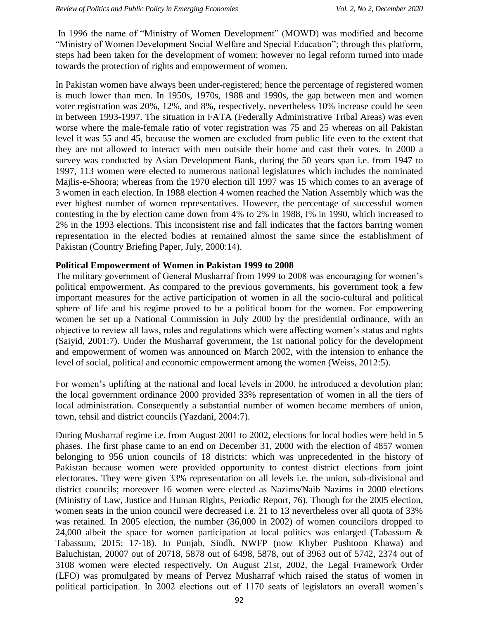In 1996 the name of "Ministry of Women Development" (MOWD) was modified and become "Ministry of Women Development Social Welfare and Special Education"; through this platform, steps had been taken for the development of women; however no legal reform turned into made towards the protection of rights and empowerment of women.

In Pakistan women have always been under-registered; hence the percentage of registered women is much lower than men. In 1950s, 1970s, 1988 and 1990s, the gap between men and women voter registration was 20%, 12%, and 8%, respectively, nevertheless 10% increase could be seen in between 1993-1997. The situation in FATA (Federally Administrative Tribal Areas) was even worse where the male-female ratio of voter registration was 75 and 25 whereas on all Pakistan level it was 55 and 45, because the women are excluded from public life even to the extent that they are not allowed to interact with men outside their home and cast their votes. In 2000 a survey was conducted by Asian Development Bank, during the 50 years span i.e. from 1947 to 1997, 113 women were elected to numerous national legislatures which includes the nominated Majlis-e-Shoora; whereas from the 1970 election till 1997 was 15 which comes to an average of 3 women in each election. In 1988 election 4 women reached the Nation Assembly which was the ever highest number of women representatives. However, the percentage of successful women contesting in the by election came down from 4% to 2% in 1988, I% in 1990, which increased to 2% in the 1993 elections. This inconsistent rise and fall indicates that the factors barring women representation in the elected bodies at remained almost the same since the establishment of Pakistan (Country Briefing Paper, July, 2000:14).

### **Political Empowerment of Women in Pakistan 1999 to 2008**

The military government of General Musharraf from 1999 to 2008 was encouraging for women's political empowerment. As compared to the previous governments, his government took a few important measures for the active participation of women in all the socio-cultural and political sphere of life and his regime proved to be a political boom for the women. For empowering women he set up a National Commission in July 2000 by the presidential ordinance, with an objective to review all laws, rules and regulations which were affecting women's status and rights (Saiyid, 2001:7). Under the Musharraf government, the 1st national policy for the development and empowerment of women was announced on March 2002, with the intension to enhance the level of social, political and economic empowerment among the women (Weiss, 2012:5).

For women's uplifting at the national and local levels in 2000, he introduced a devolution plan; the local government ordinance 2000 provided 33% representation of women in all the tiers of local administration. Consequently a substantial number of women became members of union, town, tehsil and district councils (Yazdani, 2004:7).

During Musharraf regime i.e. from August 2001 to 2002, elections for local bodies were held in 5 phases. The first phase came to an end on December 31, 2000 with the election of 4857 women belonging to 956 union councils of 18 districts: which was unprecedented in the history of Pakistan because women were provided opportunity to contest district elections from joint electorates. They were given 33% representation on all levels i.e. the union, sub-divisional and district councils; moreover 16 women were elected as Nazims/Naib Nazims in 2000 elections (Ministry of Law, Justice and Human Rights, Periodic Report, 76). Though for the 2005 election, women seats in the union council were decreased i.e. 21 to 13 nevertheless over all quota of 33% was retained. In 2005 election, the number (36,000 in 2002) of women councilors dropped to 24,000 albeit the space for women participation at local politics was enlarged (Tabassum & Tabassum, 2015: 17-18). In Punjab, Sindh, NWFP (now Khyber Pushtoon Khawa) and Baluchistan, 20007 out of 20718, 5878 out of 6498, 5878, out of 3963 out of 5742, 2374 out of 3108 women were elected respectively. On August 21st, 2002, the Legal Framework Order (LFO) was promulgated by means of Pervez Musharraf which raised the status of women in political participation. In 2002 elections out of 1170 seats of legislators an overall women's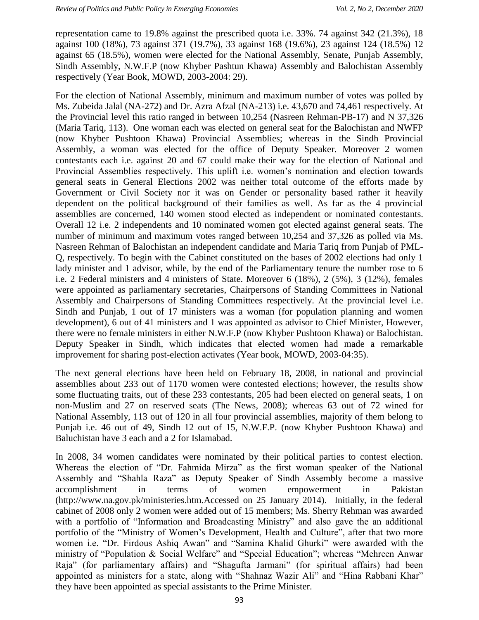representation came to 19.8% against the prescribed quota i.e. 33%. 74 against 342 (21.3%), 18 against 100 (18%), 73 against 371 (19.7%), 33 against 168 (19.6%), 23 against 124 (18.5%) 12 against 65 (18.5%), women were elected for the National Assembly, Senate, Punjab Assembly, Sindh Assembly, N.W.F.P (now Khyber Pashtun Khawa) Assembly and Balochistan Assembly respectively (Year Book, MOWD, 2003-2004: 29).

For the election of National Assembly, minimum and maximum number of votes was polled by Ms. Zubeida Jalal (NA-272) and Dr. Azra Afzal (NA-213) i.e. 43,670 and 74,461 respectively. At the Provincial level this ratio ranged in between 10,254 (Nasreen Rehman-PB-17) and N 37,326 (Maria Tariq, 113). One woman each was elected on general seat for the Balochistan and NWFP (now Khyber Pushtoon Khawa) Provincial Assemblies; whereas in the Sindh Provincial Assembly, a woman was elected for the office of Deputy Speaker. Moreover 2 women contestants each i.e. against 20 and 67 could make their way for the election of National and Provincial Assemblies respectively. This uplift i.e. women's nomination and election towards general seats in General Elections 2002 was neither total outcome of the efforts made by Government or Civil Society nor it was on Gender or personality based rather it heavily dependent on the political background of their families as well. As far as the 4 provincial assemblies are concerned, 140 women stood elected as independent or nominated contestants. Overall 12 i.e. 2 independents and 10 nominated women got elected against general seats. The number of minimum and maximum votes ranged between 10,254 and 37,326 as polled via Ms. Nasreen Rehman of Balochistan an independent candidate and Maria Tariq from Punjab of PML-Q, respectively. To begin with the Cabinet constituted on the bases of 2002 elections had only 1 lady minister and 1 advisor, while, by the end of the Parliamentary tenure the number rose to 6 i.e. 2 Federal ministers and 4 ministers of State. Moreover 6 (18%), 2 (5%), 3 (12%), females were appointed as parliamentary secretaries, Chairpersons of Standing Committees in National Assembly and Chairpersons of Standing Committees respectively. At the provincial level i.e. Sindh and Punjab, 1 out of 17 ministers was a woman (for population planning and women development), 6 out of 41 ministers and 1 was appointed as advisor to Chief Minister, However, there were no female ministers in either N.W.F.P (now Khyber Pushtoon Khawa) or Balochistan. Deputy Speaker in Sindh, which indicates that elected women had made a remarkable improvement for sharing post-election activates (Year book, MOWD, 2003-04:35).

The next general elections have been held on February 18, 2008, in national and provincial assemblies about 233 out of 1170 women were contested elections; however, the results show some fluctuating traits, out of these 233 contestants, 205 had been elected on general seats, 1 on non-Muslim and 27 on reserved seats (The News, 2008); whereas 63 out of 72 wined for National Assembly, 113 out of 120 in all four provincial assemblies, majority of them belong to Punjab i.e. 46 out of 49, Sindh 12 out of 15, N.W.F.P. (now Khyber Pushtoon Khawa) and Baluchistan have 3 each and a 2 for Islamabad.

In 2008, 34 women candidates were nominated by their political parties to contest election. Whereas the election of "Dr. Fahmida Mirza" as the first woman speaker of the National Assembly and "Shahla Raza" as Deputy Speaker of Sindh Assembly become a massive accomplishment in terms of women empowerment in Pakistan (http://www.na.gov.pk/ministeries.htm.Accessed on 25 January 2014). Initially, in the federal cabinet of 2008 only 2 women were added out of 15 members; Ms. Sherry Rehman was awarded with a portfolio of "Information and Broadcasting Ministry" and also gave the an additional portfolio of the "Ministry of Women's Development, Health and Culture", after that two more women i.e. "Dr. Firdous Ashiq Awan" and "Samina Khalid Ghurki" were awarded with the ministry of "Population & Social Welfare" and "Special Education"; whereas "Mehreen Anwar Raja" (for parliamentary affairs) and "Shagufta Jarmani" (for spiritual affairs) had been appointed as ministers for a state, along with "Shahnaz Wazir Ali" and "Hina Rabbani Khar" they have been appointed as special assistants to the Prime Minister.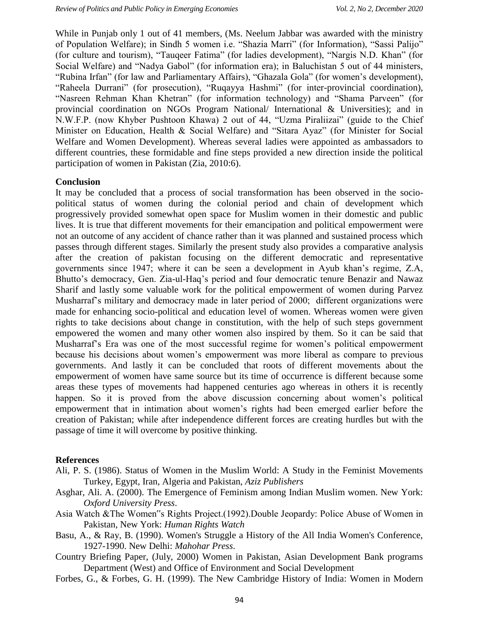While in Punjab only 1 out of 41 members, (Ms. Neelum Jabbar was awarded with the ministry of Population Welfare); in Sindh 5 women i.e. "Shazia Marri" (for Information), "Sassi Palijo" (for culture and tourism), "Tauqeer Fatima" (for ladies development), "Nargis N.D. Khan" (for Social Welfare) and "Nadya Gabol" (for information era); in Baluchistan 5 out of 44 ministers, "Rubina Irfan" (for law and Parliamentary Affairs), "Ghazala Gola" (for women's development), "Raheela Durrani" (for prosecution), "Ruqayya Hashmi" (for inter-provincial coordination), "Nasreen Rehman Khan Khetran" (for information technology) and "Shama Parveen" (for provincial coordination on NGOs Program National/ International & Universities); and in N.W.F.P. (now Khyber Pushtoon Khawa) 2 out of 44, "Uzma Piraliizai" (guide to the Chief Minister on Education, Health & Social Welfare) and "Sitara Ayaz" (for Minister for Social Welfare and Women Development). Whereas several ladies were appointed as ambassadors to different countries, these formidable and fine steps provided a new direction inside the political participation of women in Pakistan (Zia, 2010:6).

#### **Conclusion**

It may be concluded that a process of social transformation has been observed in the sociopolitical status of women during the colonial period and chain of development which progressively provided somewhat open space for Muslim women in their domestic and public lives. It is true that different movements for their emancipation and political empowerment were not an outcome of any accident of chance rather than it was planned and sustained process which passes through different stages. Similarly the present study also provides a comparative analysis after the creation of pakistan focusing on the different democratic and representative governments since 1947; where it can be seen a development in Ayub khan's regime, Z.A, Bhutto's democracy, Gen. Zia-ul-Haq's period and four democratic tenure Benazir and Nawaz Sharif and lastly some valuable work for the political empowerment of women during Parvez Musharraf's military and democracy made in later period of 2000; different organizations were made for enhancing socio-political and education level of women. Whereas women were given rights to take decisions about change in constitution, with the help of such steps government empowered the women and many other women also inspired by them. So it can be said that Musharraf's Era was one of the most successful regime for women's political empowerment because his decisions about women's empowerment was more liberal as compare to previous governments. And lastly it can be concluded that roots of different movements about the empowerment of women have same source but its time of occurrence is different because some areas these types of movements had happened centuries ago whereas in others it is recently happen. So it is proved from the above discussion concerning about women's political empowerment that in intimation about women's rights had been emerged earlier before the creation of Pakistan; while after independence different forces are creating hurdles but with the passage of time it will overcome by positive thinking.

#### **References**

- Ali, P. S. (1986). Status of Women in the Muslim World: A Study in the Feminist Movements Turkey, Egypt, Iran, Algeria and Pakistan, *Aziz Publishers*
- Asghar, Ali. A. (2000). The Emergence of Feminism among Indian Muslim women. New York: *Oxford University Press*.
- Asia Watch &The Women"s Rights Project.(1992).Double Jeopardy: Police Abuse of Women in Pakistan, New York: *Human Rights Watch*
- Basu, A., & Ray, B. (1990). Women's Struggle a History of the All India Women's Conference, 1927-1990. New Delhi: *Mahohar Press*.
- Country Briefing Paper, (July, 2000) Women in Pakistan, Asian Development Bank programs Department (West) and Office of Environment and Social Development
- Forbes, G., & Forbes, G. H. (1999). The New Cambridge History of India: Women in Modern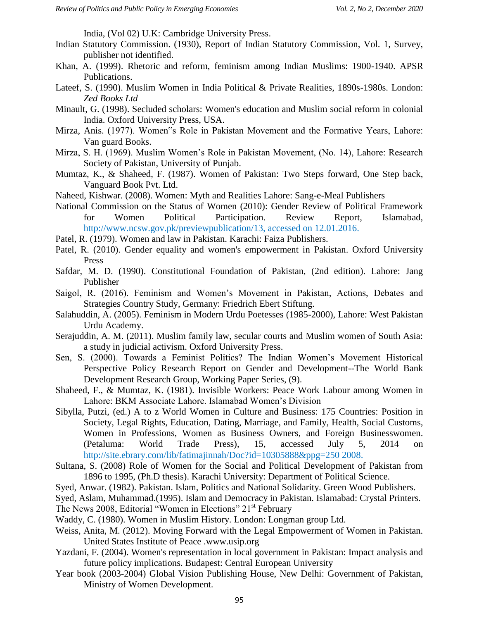India, (Vol 02) U.K: Cambridge University Press.

- Indian Statutory Commission. (1930), Report of Indian Statutory Commission, Vol. 1, Survey, publisher not identified.
- Khan, A. (1999). Rhetoric and reform, feminism among Indian Muslims: 1900-1940. APSR Publications.
- Lateef, S. (1990). Muslim Women in India Political & Private Realities, 1890s-1980s. London: *Zed Books Ltd*
- Minault, G. (1998). Secluded scholars: Women's education and Muslim social reform in colonial India. Oxford University Press, USA.
- Mirza, Anis. (1977). Women"s Role in Pakistan Movement and the Formative Years, Lahore: Van guard Books.
- Mirza, S. H. (1969). Muslim Women's Role in Pakistan Movement, (No. 14), Lahore: Research Society of Pakistan, University of Punjab.
- Mumtaz, K., & Shaheed, F. (1987). Women of Pakistan: Two Steps forward, One Step back, Vanguard Book Pvt. Ltd.
- Naheed, Kishwar. (2008). Women: Myth and Realities Lahore: Sang-e-Meal Publishers
- National Commission on the Status of Women (2010): Gender Review of Political Framework for Women Political Participation. Review Report, Islamabad, http://www.ncsw.gov.pk/previewpublication/13, accessed on 12.01.2016.
- Patel, R. (1979). Women and law in Pakistan. Karachi: Faiza Publishers.
- Patel, R. (2010). Gender equality and women's empowerment in Pakistan. Oxford University Press
- Safdar, M. D. (1990). Constitutional Foundation of Pakistan, (2nd edition). Lahore: Jang Publisher
- Saigol, R. (2016). Feminism and Women's Movement in Pakistan, Actions, Debates and Strategies Country Study, Germany: Friedrich Ebert Stiftung.
- Salahuddin, A. (2005). Feminism in Modern Urdu Poetesses (1985-2000), Lahore: West Pakistan Urdu Academy.
- Serajuddin, A. M. (2011). Muslim family law, secular courts and Muslim women of South Asia: a study in judicial activism. Oxford University Press.
- Sen, S. (2000). Towards a Feminist Politics? The Indian Women's Movement Historical Perspective Policy Research Report on Gender and Development--The World Bank Development Research Group, Working Paper Series, (9).
- Shaheed, F., & Mumtaz, K. (1981). Invisible Workers: Peace Work Labour among Women in Lahore: BKM Associate Lahore. Islamabad Women's Division
- Sibylla, Putzi, (ed.) A to z World Women in Culture and Business: 175 Countries: Position in Society, Legal Rights, Education, Dating, Marriage, and Family, Health, Social Customs, Women in Professions, Women as Business Owners, and Foreign Businesswomen. (Petaluma: World Trade Press), 15, accessed July 5, 2014 on http://site.ebrary.com/lib/fatimajinnah/Doc?id=10305888&ppg=250 2008.
- Sultana, S. (2008) Role of Women for the Social and Political Development of Pakistan from 1896 to 1995, (Ph.D thesis). Karachi University: Department of Political Science.
- Syed, Anwar. (1982). Pakistan. Islam, Politics and National Solidarity. Green Wood Publishers.
- Syed, Aslam, Muhammad.(1995). Islam and Democracy in Pakistan. Islamabad: Crystal Printers.
- The News 2008, Editorial "Women in Elections" 21<sup>st</sup> February
- Waddy, C. (1980). Women in Muslim History. London: Longman group Ltd.
- Weiss, Anita, M. (2012). Moving Forward with the Legal Empowerment of Women in Pakistan. United States Institute of Peace .www.usip.org
- Yazdani, F. (2004). Women's representation in local government in Pakistan: Impact analysis and future policy implications. Budapest: Central European University
- Year book (2003-2004) Global Vision Publishing House, New Delhi: Government of Pakistan, Ministry of Women Development.